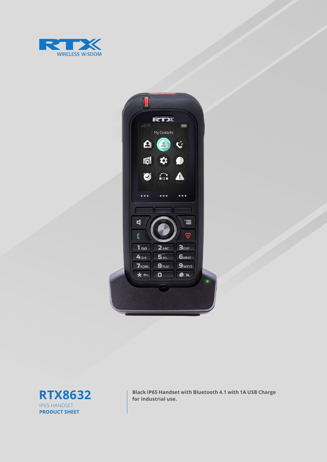

| $-113$                                                             | <b>RTX</b><br>My Contacts<br>88                                              | 65%<br>$\mathbf{C}$                                                        |  |
|--------------------------------------------------------------------|------------------------------------------------------------------------------|----------------------------------------------------------------------------|--|
| Ø<br>$\bullet$ $\bullet$ $\bullet$                                 | 園幸<br>$\Omega$<br>$\bullet$ $\bullet$ $\bullet$                              | $\bullet$<br>$\blacktriangle$<br>$\bullet \bullet \bullet$                 |  |
| $\blacktriangleleft$<br>C                                          |                                                                              | ≔<br><u>ල</u>                                                              |  |
| 1 <sub>oo</sub><br>4 <sub>GHI</sub><br><b>7</b> PORS<br>$\star$ on | $2_{ABC}$<br>5 <sub>JKL</sub><br>$B_{\text{TUV}}$<br>$\overline{\mathbf{o}}$ | 3 <sub>DEF</sub><br>6 <sub>MNO</sub><br>9 <sub>WXYZ</sub><br>$\frac{1}{2}$ |  |
|                                                                    |                                                                              |                                                                            |  |



**RTX8632 black IP65 Handset with Bluetooth 4.1 with 1A USB Charge** for industrial use.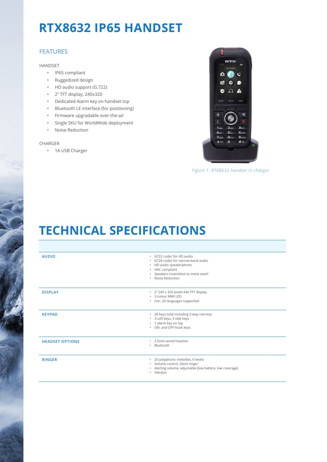# **RTX8632 IP65 HANDSET**

### FEATURES

HANDSET

- IP65 compliant
- Ruggedized design
- HD audio support (G.722)
- 2'' TFT display, 240x320
- Dedicated Alarm key on handset top
- Bluetooth LE interface (for positioning)
- Firmware upgradable over-the-air
- Single SKU for WorldWide deployment
- Noise Reduction

#### CHARGER

• 1A USB Charger



*Figure 1: RTX8632 handset in charger*

### **TECHNICAL SPECIFICATIONS**

| <b>AUDIO</b>           | · G722 codec for HD audio<br>. G726 codec for narrow band audio<br>• HD audio speakerphone<br>• HAC compliant<br>• Speakers insensitive to metal swarf<br>· Noise Reduction |
|------------------------|-----------------------------------------------------------------------------------------------------------------------------------------------------------------------------|
| <b>DISPLAY</b>         | · 2" 240 x 320 pixels 64k TFT display<br>* 3 colour MWI LED<br>· min. 20 languages supported                                                                                |
| <b>KEYPAD</b>          | * 28 keys total including 5-way navi-key<br>* 3 soft keys, 3 side keys<br>• 1 alarm key on top<br>• ON- and OFF-hook keys                                                   |
| <b>HEADSET OPTIONS</b> | . 3.5mm wired headset<br>Bluetooth<br>٠                                                                                                                                     |
| <b>RINGER</b>          | · 20 polyphonic melodies, 6 levels<br>• Volume control, Silent ringer<br>· Alerting volume, adjustable (low battery, low coverage)<br>• Vibrator                            |